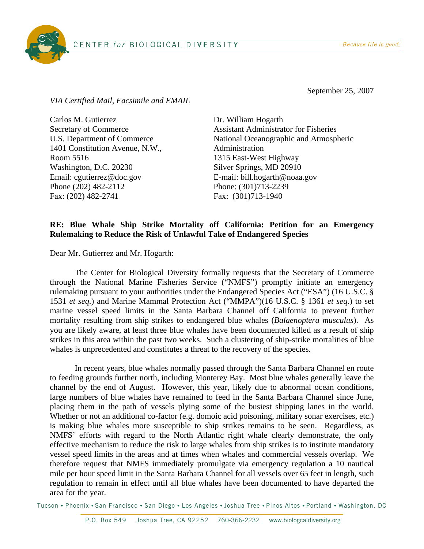

September 25, 2007

*VIA Certified Mail, Facsimile and EMAIL* 

Carlos M. Gutierrez Secretary of Commerce U.S. Department of Commerce 1401 Constitution Avenue, N.W., Room 5516 Washington, D.C. 20230 Email: cgutierrez@doc.gov Phone (202) 482-2112 Fax: (202) 482-2741

Dr. William Hogarth Assistant Administrator for Fisheries National Oceanographic and Atmospheric Administration 1315 East-West Highway Silver Springs, MD 20910 E-mail: bill.hogarth@noaa.gov Phone: (301)713-2239 Fax: (301)713-1940

# **RE: Blue Whale Ship Strike Mortality off California: Petition for an Emergency Rulemaking to Reduce the Risk of Unlawful Take of Endangered Species**

Dear Mr. Gutierrez and Mr. Hogarth:

The Center for Biological Diversity formally requests that the Secretary of Commerce through the National Marine Fisheries Service ("NMFS") promptly initiate an emergency rulemaking pursuant to your authorities under the Endangered Species Act ("ESA") (16 U.S.C. § 1531 *et seq.*) and Marine Mammal Protection Act ("MMPA")(16 U.S.C. § 1361 *et seq*.) to set marine vessel speed limits in the Santa Barbara Channel off California to prevent further mortality resulting from ship strikes to endangered blue whales (*Balaenoptera musculus*). As you are likely aware, at least three blue whales have been documented killed as a result of ship strikes in this area within the past two weeks. Such a clustering of ship-strike mortalities of blue whales is unprecedented and constitutes a threat to the recovery of the species.

In recent years, blue whales normally passed through the Santa Barbara Channel en route to feeding grounds further north, including Monterey Bay. Most blue whales generally leave the channel by the end of August. However, this year, likely due to abnormal ocean conditions, large numbers of blue whales have remained to feed in the Santa Barbara Channel since June, placing them in the path of vessels plying some of the busiest shipping lanes in the world. Whether or not an additional co-factor (e.g. domoic acid poisoning, military sonar exercises, etc.) is making blue whales more susceptible to ship strikes remains to be seen. Regardless, as NMFS' efforts with regard to the North Atlantic right whale clearly demonstrate, the only effective mechanism to reduce the risk to large whales from ship strikes is to institute mandatory vessel speed limits in the areas and at times when whales and commercial vessels overlap. We therefore request that NMFS immediately promulgate via emergency regulation a 10 nautical mile per hour speed limit in the Santa Barbara Channel for all vessels over 65 feet in length, such regulation to remain in effect until all blue whales have been documented to have departed the area for the year.

Tucson **•** Phoenix **•** San Francisco **•** San Diego **•** Los Angeles **•** Joshua Tree **•** Pinos Altos **•** Portland **•** Washington, DC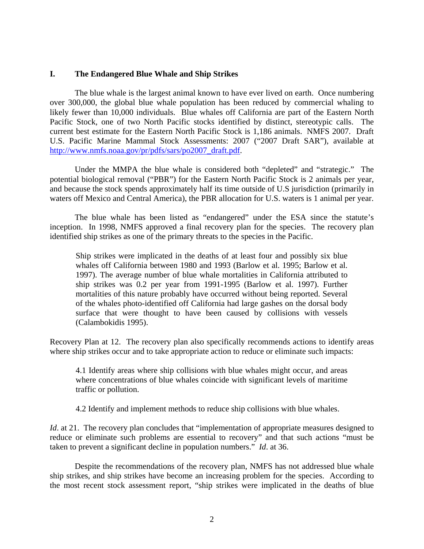## **I. The Endangered Blue Whale and Ship Strikes**

 The blue whale is the largest animal known to have ever lived on earth. Once numbering over 300,000, the global blue whale population has been reduced by commercial whaling to likely fewer than 10,000 individuals. Blue whales off California are part of the Eastern North Pacific Stock, one of two North Pacific stocks identified by distinct, stereotypic calls. The current best estimate for the Eastern North Pacific Stock is 1,186 animals. NMFS 2007. Draft U.S. Pacific Marine Mammal Stock Assessments: 2007 ("2007 Draft SAR"), available at http://www.nmfs.noaa.gov/pr/pdfs/sars/po2007\_draft.pdf.

 Under the MMPA the blue whale is considered both "depleted" and "strategic." The potential biological removal ("PBR") for the Eastern North Pacific Stock is 2 animals per year, and because the stock spends approximately half its time outside of U.S jurisdiction (primarily in waters off Mexico and Central America), the PBR allocation for U.S. waters is 1 animal per year.

 The blue whale has been listed as "endangered" under the ESA since the statute's inception. In 1998, NMFS approved a final recovery plan for the species. The recovery plan identified ship strikes as one of the primary threats to the species in the Pacific.

Ship strikes were implicated in the deaths of at least four and possibly six blue whales off California between 1980 and 1993 (Barlow et al. 1995; Barlow et al. 1997). The average number of blue whale mortalities in California attributed to ship strikes was 0.2 per year from 1991-1995 (Barlow et al. 1997). Further mortalities of this nature probably have occurred without being reported. Several of the whales photo-identified off California had large gashes on the dorsal body surface that were thought to have been caused by collisions with vessels (Calambokidis 1995).

Recovery Plan at 12. The recovery plan also specifically recommends actions to identify areas where ship strikes occur and to take appropriate action to reduce or eliminate such impacts:

4.1 Identify areas where ship collisions with blue whales might occur, and areas where concentrations of blue whales coincide with significant levels of maritime traffic or pollution.

4.2 Identify and implement methods to reduce ship collisions with blue whales.

*Id.* at 21. The recovery plan concludes that "implementation of appropriate measures designed to reduce or eliminate such problems are essential to recovery" and that such actions "must be taken to prevent a significant decline in population numbers." *Id*. at 36.

 Despite the recommendations of the recovery plan, NMFS has not addressed blue whale ship strikes, and ship strikes have become an increasing problem for the species. According to the most recent stock assessment report, "ship strikes were implicated in the deaths of blue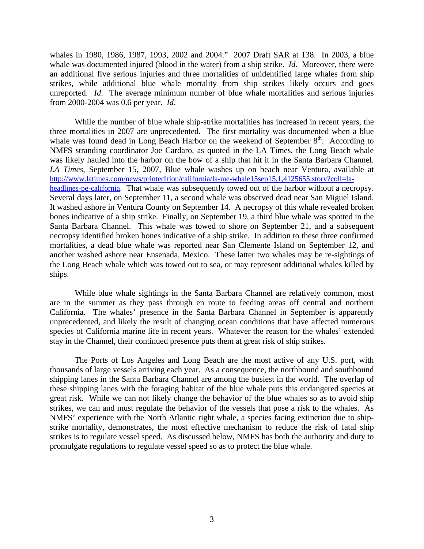whales in 1980, 1986, 1987, 1993, 2002 and 2004." 2007 Draft SAR at 138. In 2003, a blue whale was documented injured (blood in the water) from a ship strike. *Id*. Moreover, there were an additional five serious injuries and three mortalities of unidentified large whales from ship strikes, while additional blue whale mortality from ship strikes likely occurs and goes unreported. *Id*. The average minimum number of blue whale mortalities and serious injuries from 2000-2004 was 0.6 per year. *Id*.

 While the number of blue whale ship-strike mortalities has increased in recent years, the three mortalities in 2007 are unprecedented. The first mortality was documented when a blue whale was found dead in Long Beach Harbor on the weekend of September  $8<sup>th</sup>$ . According to NMFS stranding coordinator Joe Cardaro, as quoted in the LA Times, the Long Beach whale was likely hauled into the harbor on the bow of a ship that hit it in the Santa Barbara Channel. *LA Times*, September 15, 2007, Blue whale washes up on beach near Ventura, available at http://www.latimes.com/news/printedition/california/la-me-whale15sep15,1,4125655.story?coll=laheadlines-pe-california. That whale was subsequently towed out of the harbor without a necropsy. Several days later, on September 11, a second whale was observed dead near San Miguel Island. It washed ashore in Ventura County on September 14. A necropsy of this whale revealed broken bones indicative of a ship strike. Finally, on September 19, a third blue whale was spotted in the Santa Barbara Channel. This whale was towed to shore on September 21, and a subsequent necropsy identified broken bones indicative of a ship strike. In addition to these three confirmed mortalities, a dead blue whale was reported near San Clemente Island on September 12, and another washed ashore near Ensenada, Mexico. These latter two whales may be re-sightings of the Long Beach whale which was towed out to sea, or may represent additional whales killed by ships.

 While blue whale sightings in the Santa Barbara Channel are relatively common, most are in the summer as they pass through en route to feeding areas off central and northern California. The whales' presence in the Santa Barbara Channel in September is apparently unprecedented, and likely the result of changing ocean conditions that have affected numerous species of California marine life in recent years. Whatever the reason for the whales' extended stay in the Channel, their continued presence puts them at great risk of ship strikes.

The Ports of Los Angeles and Long Beach are the most active of any U.S. port, with thousands of large vessels arriving each year. As a consequence, the northbound and southbound shipping lanes in the Santa Barbara Channel are among the busiest in the world. The overlap of these shipping lanes with the foraging habitat of the blue whale puts this endangered species at great risk. While we can not likely change the behavior of the blue whales so as to avoid ship strikes, we can and must regulate the behavior of the vessels that pose a risk to the whales. As NMFS' experience with the North Atlantic right whale, a species facing extinction due to shipstrike mortality, demonstrates, the most effective mechanism to reduce the risk of fatal ship strikes is to regulate vessel speed. As discussed below, NMFS has both the authority and duty to promulgate regulations to regulate vessel speed so as to protect the blue whale.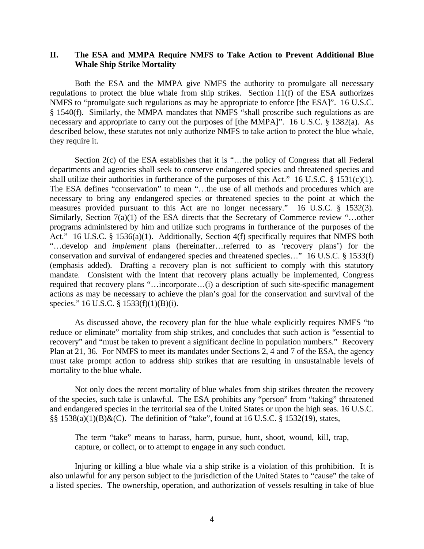# **II. The ESA and MMPA Require NMFS to Take Action to Prevent Additional Blue Whale Ship Strike Mortality**

Both the ESA and the MMPA give NMFS the authority to promulgate all necessary regulations to protect the blue whale from ship strikes. Section 11(f) of the ESA authorizes NMFS to "promulgate such regulations as may be appropriate to enforce [the ESA]". 16 U.S.C. § 1540(f). Similarly, the MMPA mandates that NMFS "shall proscribe such regulations as are necessary and appropriate to carry out the purposes of [the MMPA]". 16 U.S.C. § 1382(a). As described below, these statutes not only authorize NMFS to take action to protect the blue whale, they require it.

Section 2(c) of the ESA establishes that it is "...the policy of Congress that all Federal departments and agencies shall seek to conserve endangered species and threatened species and shall utilize their authorities in furtherance of the purposes of this Act." 16 U.S.C.  $\S$  1531(c)(1). The ESA defines "conservation" to mean "…the use of all methods and procedures which are necessary to bring any endangered species or threatened species to the point at which the measures provided pursuant to this Act are no longer necessary." 16 U.S.C. § 1532(3). Similarly, Section 7(a)(1) of the ESA directs that the Secretary of Commerce review "…other programs administered by him and utilize such programs in furtherance of the purposes of the Act." 16 U.S.C. § 1536(a)(1). Additionally, Section 4(f) specifically requires that NMFS both "…develop and *implement* plans (hereinafter…referred to as 'recovery plans') for the conservation and survival of endangered species and threatened species…" 16 U.S.C. § 1533(f) (emphasis added). Drafting a recovery plan is not sufficient to comply with this statutory mandate. Consistent with the intent that recovery plans actually be implemented, Congress required that recovery plans "…incorporate…(i) a description of such site-specific management actions as may be necessary to achieve the plan's goal for the conservation and survival of the species." 16 U.S.C. § 1533(f)(1)(B)(i).

As discussed above, the recovery plan for the blue whale explicitly requires NMFS "to reduce or eliminate" mortality from ship strikes, and concludes that such action is "essential to recovery" and "must be taken to prevent a significant decline in population numbers." Recovery Plan at 21, 36. For NMFS to meet its mandates under Sections 2, 4 and 7 of the ESA, the agency must take prompt action to address ship strikes that are resulting in unsustainable levels of mortality to the blue whale.

Not only does the recent mortality of blue whales from ship strikes threaten the recovery of the species, such take is unlawful. The ESA prohibits any "person" from "taking" threatened and endangered species in the territorial sea of the United States or upon the high seas. 16 U.S.C. §§ 1538(a)(1)(B)&(C). The definition of "take", found at 16 U.S.C. § 1532(19), states,

The term "take" means to harass, harm, pursue, hunt, shoot, wound, kill, trap, capture, or collect, or to attempt to engage in any such conduct.

 Injuring or killing a blue whale via a ship strike is a violation of this prohibition. It is also unlawful for any person subject to the jurisdiction of the United States to "cause" the take of a listed species. The ownership, operation, and authorization of vessels resulting in take of blue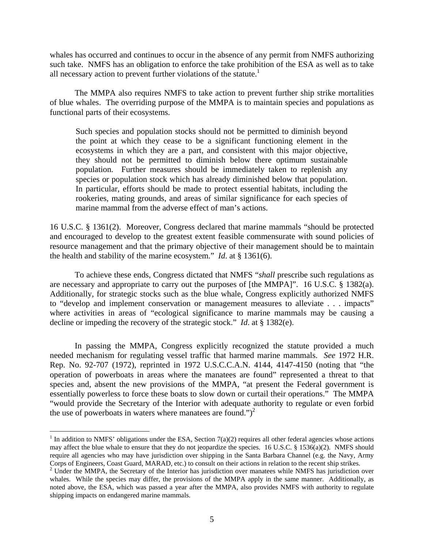whales has occurred and continues to occur in the absence of any permit from NMFS authorizing such take. NMFS has an obligation to enforce the take prohibition of the ESA as well as to take all necessary action to prevent further violations of the statute.<sup>1</sup>

 The MMPA also requires NMFS to take action to prevent further ship strike mortalities of blue whales. The overriding purpose of the MMPA is to maintain species and populations as functional parts of their ecosystems.

Such species and population stocks should not be permitted to diminish beyond the point at which they cease to be a significant functioning element in the ecosystems in which they are a part, and consistent with this major objective, they should not be permitted to diminish below there optimum sustainable population. Further measures should be immediately taken to replenish any species or population stock which has already diminished below that population. In particular, efforts should be made to protect essential habitats, including the rookeries, mating grounds, and areas of similar significance for each species of marine mammal from the adverse effect of man's actions.

16 U.S.C. § 1361(2). Moreover, Congress declared that marine mammals "should be protected and encouraged to develop to the greatest extent feasible commensurate with sound policies of resource management and that the primary objective of their management should be to maintain the health and stability of the marine ecosystem." *Id*. at § 1361(6).

 To achieve these ends, Congress dictated that NMFS "*shall* prescribe such regulations as are necessary and appropriate to carry out the purposes of [the MMPA]". 16 U.S.C. § 1382(a). Additionally, for strategic stocks such as the blue whale, Congress explicitly authorized NMFS to "develop and implement conservation or management measures to alleviate . . . impacts" where activities in areas of "ecological significance to marine mammals may be causing a decline or impeding the recovery of the strategic stock." *Id*. at § 1382(e).

 In passing the MMPA, Congress explicitly recognized the statute provided a much needed mechanism for regulating vessel traffic that harmed marine mammals. *See* 1972 H.R. Rep. No. 92-707 (1972), reprinted in 1972 U.S.C.C.A.N. 4144, 4147-4150 (noting that "the operation of powerboats in areas where the manatees are found" represented a threat to that species and, absent the new provisions of the MMPA, "at present the Federal government is essentially powerless to force these boats to slow down or curtail their operations." The MMPA "would provide the Secretary of the Interior with adequate authority to regulate or even forbid the use of powerboats in waters where manatees are found." $)^2$ 

1

<sup>&</sup>lt;sup>1</sup> In addition to NMFS' obligations under the ESA, Section  $7(a)(2)$  requires all other federal agencies whose actions may affect the blue whale to ensure that they do not jeopardize the species. 16 U.S.C. § 1536(a)(2). NMFS should require all agencies who may have jurisdiction over shipping in the Santa Barbara Channel (e.g. the Navy, Army Corps of Engineers, Coast Guard, MARAD, etc.) to consult on their actions in relation to the recent ship strikes. 2

<sup>&</sup>lt;sup>2</sup> Under the MMPA, the Secretary of the Interior has jurisdiction over manatees while NMFS has jurisdiction over whales. While the species may differ, the provisions of the MMPA apply in the same manner. Additionally, as noted above, the ESA, which was passed a year after the MMPA, also provides NMFS with authority to regulate shipping impacts on endangered marine mammals.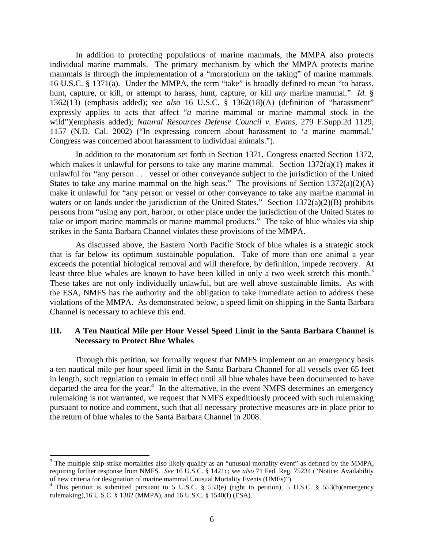In addition to protecting populations of marine mammals, the MMPA also protects individual marine mammals. The primary mechanism by which the MMPA protects marine mammals is through the implementation of a "moratorium on the taking" of marine mammals. 16 U.S.C. § 1371(a). Under the MMPA, the term "take" is broadly defined to mean "to harass, hunt, capture, or kill, or attempt to harass, hunt, capture, or kill *any* marine mammal." *Id.* § 1362(13) (emphasis added); *see also* 16 U.S.C. § 1362(18)(A) (definition of "harassment" expressly applies to acts that affect "*a* marine mammal or marine mammal stock in the wild")(emphasis added); *Natural Resources Defense Council v. Evans,* 279 F.Supp.2d 1129, 1157 (N.D. Cal. 2002) ("In expressing concern about harassment to 'a marine mammal,' Congress was concerned about harassment to individual animals.").

In addition to the moratorium set forth in Section 1371, Congress enacted Section 1372, which makes it unlawful for persons to take any marine mammal. Section  $1372(a)(1)$  makes it unlawful for "any person . . . vessel or other conveyance subject to the jurisdiction of the United States to take any marine mammal on the high seas." The provisions of Section  $1372(a)(2)(A)$ make it unlawful for "any person or vessel or other conveyance to take any marine mammal in waters or on lands under the jurisdiction of the United States." Section 1372(a)(2)(B) prohibits persons from "using any port, harbor, or other place under the jurisdiction of the United States to take or import marine mammals or marine mammal products." The take of blue whales via ship strikes in the Santa Barbara Channel violates these provisions of the MMPA.

As discussed above, the Eastern North Pacific Stock of blue whales is a strategic stock that is far below its optimum sustainable population. Take of more than one animal a year exceeds the potential biological removal and will therefore, by definition, impede recovery. At least three blue whales are known to have been killed in only a two week stretch this month.<sup>3</sup> These takes are not only individually unlawful, but are well above sustainable limits. As with the ESA, NMFS has the authority and the obligation to take immediate action to address these violations of the MMPA. As demonstrated below, a speed limit on shipping in the Santa Barbara Channel is necessary to achieve this end.

## **III. A Ten Nautical Mile per Hour Vessel Speed Limit in the Santa Barbara Channel is Necessary to Protect Blue Whales**

Through this petition, we formally request that NMFS implement on an emergency basis a ten nautical mile per hour speed limit in the Santa Barbara Channel for all vessels over 65 feet in length, such regulation to remain in effect until all blue whales have been documented to have departed the area for the year. $4\,$  In the alternative, in the event NMFS determines an emergency rulemaking is not warranted, we request that NMFS expeditiously proceed with such rulemaking pursuant to notice and comment, such that all necessary protective measures are in place prior to the return of blue whales to the Santa Barbara Channel in 2008.

 $\overline{a}$ 

 $3$  The multiple ship-strike mortalities also likely qualify as an "unusual mortality event" as defined by the MMPA, requiring further response from NMFS. *See* 16 U.S.C. § 1421c; *see also* 71 Fed. Reg. 75234 ("Notice: Availability of new criteria for designation of marine mammal Unusual Mortality Events (UMEs)"). 4

<sup>&</sup>lt;sup>4</sup> This petition is submitted pursuant to 5 U.S.C. § 553(e) (right to petition), 5 U.S.C. § 553(b)(emergency rulemaking),16 U.S.C. § 1382 (MMPA), and 16 U.S.C. § 1540(f) (ESA).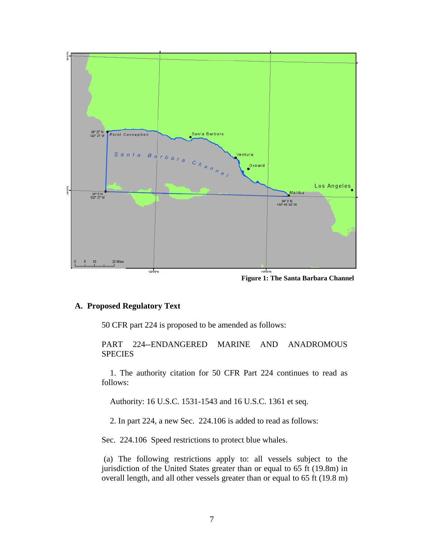

**Figure 1: The Santa Barbara Channel** 

#### **A. Proposed Regulatory Text**

50 CFR part 224 is proposed to be amended as follows:

PART 224--ENDANGERED MARINE AND ANADROMOUS **SPECIES** 

 1. The authority citation for 50 CFR Part 224 continues to read as follows:

Authority: 16 U.S.C. 1531-1543 and 16 U.S.C. 1361 et seq.

2. In part 224, a new Sec. 224.106 is added to read as follows:

Sec. 224.106 Speed restrictions to protect blue whales.

 (a) The following restrictions apply to: all vessels subject to the jurisdiction of the United States greater than or equal to 65 ft (19.8m) in overall length, and all other vessels greater than or equal to 65 ft (19.8 m)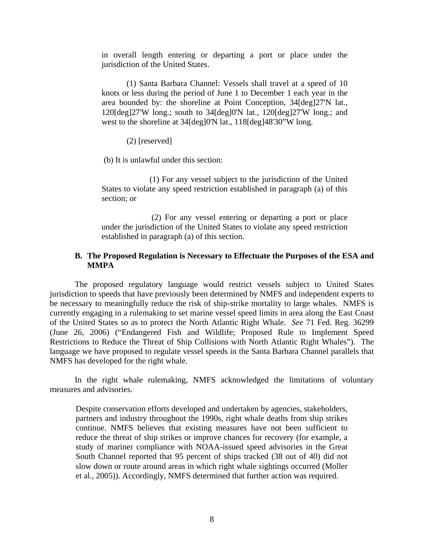in overall length entering or departing a port or place under the jurisdiction of the United States.

(1) Santa Barbara Channel: Vessels shall travel at a speed of 10 knots or less during the period of June 1 to December 1 each year in the area bounded by: the shoreline at Point Conception, 34[deg]27'N lat., 120[deg]27'W long.; south to 34[deg]0'N lat., 120[deg]27'W long.; and west to the shoreline at 34[deg]0'N lat., 118[deg]48'30"W long.

(2) [reserved]

(b) It is unlawful under this section:

 (1) For any vessel subject to the jurisdiction of the United States to violate any speed restriction established in paragraph (a) of this section; or

 (2) For any vessel entering or departing a port or place under the jurisdiction of the United States to violate any speed restriction established in paragraph (a) of this section.

# **B. The Proposed Regulation is Necessary to Effectuate the Purposes of the ESA and MMPA**

The proposed regulatory language would restrict vessels subject to United States jurisdiction to speeds that have previously been determined by NMFS and independent experts to be necessary to meaningfully reduce the risk of ship-strike mortality to large whales. NMFS is currently engaging in a rulemaking to set marine vessel speed limits in area along the East Coast of the United States so as to protect the North Atlantic Right Whale. *See* 71 Fed. Reg. 36299 (June 26, 2006) ("Endangered Fish and Wildlife; Proposed Rule to Implement Speed Restrictions to Reduce the Threat of Ship Collisions with North Atlantic Right Whales"). The language we have proposed to regulate vessel speeds in the Santa Barbara Channel parallels that NMFS has developed for the right whale.

In the right whale rulemaking, NMFS acknowledged the limitations of voluntary measures and advisories.

Despite conservation efforts developed and undertaken by agencies, stakeholders, partners and industry throughout the 1990s, right whale deaths from ship strikes continue. NMFS believes that existing measures have not been sufficient to reduce the threat of ship strikes or improve chances for recovery (for example, a study of mariner compliance with NOAA-issued speed advisories in the Great South Channel reported that 95 percent of ships tracked (38 out of 40) did not slow down or route around areas in which right whale sightings occurred (Moller et al., 2005)). Accordingly, NMFS determined that further action was required.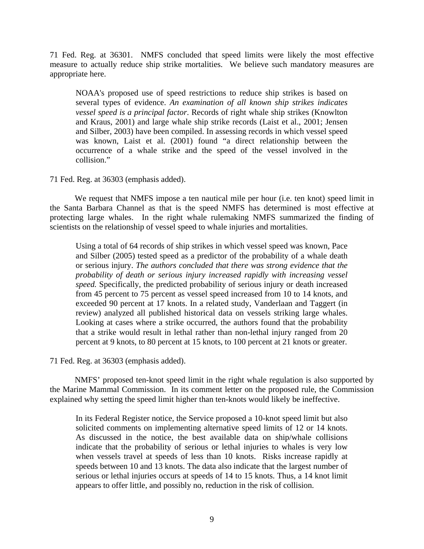71 Fed. Reg. at 36301. NMFS concluded that speed limits were likely the most effective measure to actually reduce ship strike mortalities. We believe such mandatory measures are appropriate here.

NOAA's proposed use of speed restrictions to reduce ship strikes is based on several types of evidence. *An examination of all known ship strikes indicates vessel speed is a principal factor*. Records of right whale ship strikes (Knowlton and Kraus, 2001) and large whale ship strike records (Laist et al., 2001; Jensen and Silber, 2003) have been compiled. In assessing records in which vessel speed was known, Laist et al. (2001) found "a direct relationship between the occurrence of a whale strike and the speed of the vessel involved in the collision."

71 Fed. Reg. at 36303 (emphasis added).

 We request that NMFS impose a ten nautical mile per hour (i.e. ten knot) speed limit in the Santa Barbara Channel as that is the speed NMFS has determined is most effective at protecting large whales. In the right whale rulemaking NMFS summarized the finding of scientists on the relationship of vessel speed to whale injuries and mortalities.

Using a total of 64 records of ship strikes in which vessel speed was known, Pace and Silber (2005) tested speed as a predictor of the probability of a whale death or serious injury. *The authors concluded that there was strong evidence that the probability of death or serious injury increased rapidly with increasing vessel speed.* Specifically, the predicted probability of serious injury or death increased from 45 percent to 75 percent as vessel speed increased from 10 to 14 knots, and exceeded 90 percent at 17 knots. In a related study, Vanderlaan and Taggert (in review) analyzed all published historical data on vessels striking large whales. Looking at cases where a strike occurred, the authors found that the probability that a strike would result in lethal rather than non-lethal injury ranged from 20 percent at 9 knots, to 80 percent at 15 knots, to 100 percent at 21 knots or greater.

71 Fed. Reg. at 36303 (emphasis added).

NMFS' proposed ten-knot speed limit in the right whale regulation is also supported by the Marine Mammal Commission. In its comment letter on the proposed rule, the Commission explained why setting the speed limit higher than ten-knots would likely be ineffective.

In its Federal Register notice, the Service proposed a 10-knot speed limit but also solicited comments on implementing alternative speed limits of 12 or 14 knots. As discussed in the notice, the best available data on ship/whale collisions indicate that the probability of serious or lethal injuries to whales is very low when vessels travel at speeds of less than 10 knots. Risks increase rapidly at speeds between 10 and 13 knots. The data also indicate that the largest number of serious or lethal injuries occurs at speeds of 14 to 15 knots. Thus, a 14 knot limit appears to offer little, and possibly no, reduction in the risk of collision.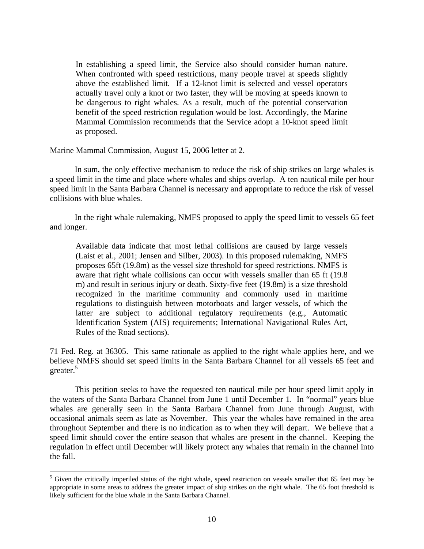In establishing a speed limit, the Service also should consider human nature. When confronted with speed restrictions, many people travel at speeds slightly above the established limit. If a 12-knot limit is selected and vessel operators actually travel only a knot or two faster, they will be moving at speeds known to be dangerous to right whales. As a result, much of the potential conservation benefit of the speed restriction regulation would be lost. Accordingly, the Marine Mammal Commission recommends that the Service adopt a 10-knot speed limit as proposed.

Marine Mammal Commission, August 15, 2006 letter at 2.

 $\overline{a}$ 

 In sum, the only effective mechanism to reduce the risk of ship strikes on large whales is a speed limit in the time and place where whales and ships overlap. A ten nautical mile per hour speed limit in the Santa Barbara Channel is necessary and appropriate to reduce the risk of vessel collisions with blue whales.

 In the right whale rulemaking, NMFS proposed to apply the speed limit to vessels 65 feet and longer.

Available data indicate that most lethal collisions are caused by large vessels (Laist et al., 2001; Jensen and Silber, 2003). In this proposed rulemaking, NMFS proposes 65ft (19.8m) as the vessel size threshold for speed restrictions. NMFS is aware that right whale collisions can occur with vessels smaller than 65 ft (19.8 m) and result in serious injury or death. Sixty-five feet (19.8m) is a size threshold recognized in the maritime community and commonly used in maritime regulations to distinguish between motorboats and larger vessels, of which the latter are subject to additional regulatory requirements (e.g., Automatic Identification System (AIS) requirements; International Navigational Rules Act, Rules of the Road sections).

71 Fed. Reg. at 36305. This same rationale as applied to the right whale applies here, and we believe NMFS should set speed limits in the Santa Barbara Channel for all vessels 65 feet and greater.<sup>5</sup>

 This petition seeks to have the requested ten nautical mile per hour speed limit apply in the waters of the Santa Barbara Channel from June 1 until December 1. In "normal" years blue whales are generally seen in the Santa Barbara Channel from June through August, with occasional animals seem as late as November. This year the whales have remained in the area throughout September and there is no indication as to when they will depart. We believe that a speed limit should cover the entire season that whales are present in the channel. Keeping the regulation in effect until December will likely protect any whales that remain in the channel into the fall.

<sup>&</sup>lt;sup>5</sup> Given the critically imperiled status of the right whale, speed restriction on vessels smaller that 65 feet may be appropriate in some areas to address the greater impact of ship strikes on the right whale. The 65 foot threshold is likely sufficient for the blue whale in the Santa Barbara Channel.